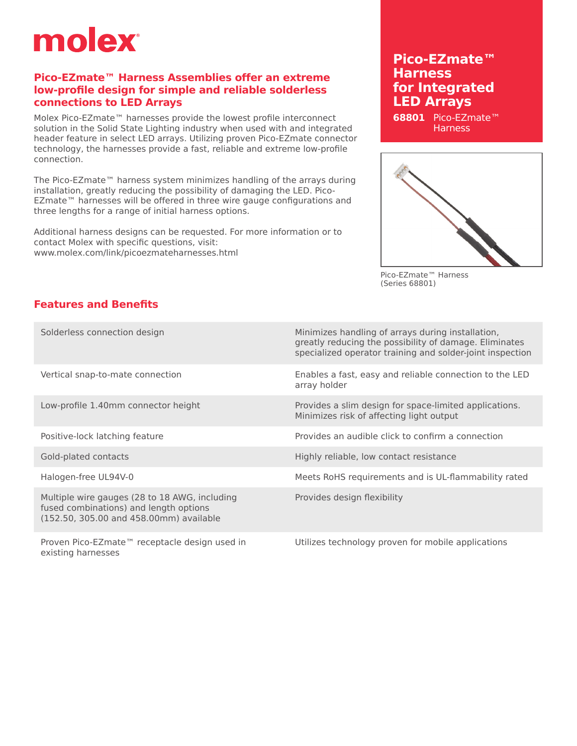# molex

### **Pico-EZmate™ Harness Assemblies offer an extreme low-profile design for simple and reliable solderless connections to LED Arrays**

Molex Pico-EZmate™ harnesses provide the lowest profile interconnect solution in the Solid State Lighting industry when used with and integrated header feature in select LED arrays. Utilizing proven Pico-EZmate connector technology, the harnesses provide a fast, reliable and extreme low-profile connection.

The Pico-EZmate™ harness system minimizes handling of the arrays during installation, greatly reducing the possibility of damaging the LED. Pico-EZmate™ harnesses will be offered in three wire gauge configurations and three lengths for a range of initial harness options.

Additional harness designs can be requested. For more information or to contact Molex with specific questions, visit: <www.molex.com/link/picoezmateharnesses.html>

## **Pico-EZmate™ Harness for Integrated LED Arrays**

**68801** Pico-EZmate™ **Harness** 



Pico-EZmate™ Harness (Series 68801)

### **Features and Benefits**

| Solderless connection design                                                                                                       | Minimizes handling of arrays during installation,<br>greatly reducing the possibility of damage. Eliminates<br>specialized operator training and solder-joint inspection |  |
|------------------------------------------------------------------------------------------------------------------------------------|--------------------------------------------------------------------------------------------------------------------------------------------------------------------------|--|
| Vertical snap-to-mate connection                                                                                                   | Enables a fast, easy and reliable connection to the LED<br>array holder                                                                                                  |  |
| Low-profile 1.40mm connector height                                                                                                | Provides a slim design for space-limited applications.<br>Minimizes risk of affecting light output                                                                       |  |
| Positive-lock latching feature                                                                                                     | Provides an audible click to confirm a connection                                                                                                                        |  |
| Gold-plated contacts                                                                                                               | Highly reliable, low contact resistance                                                                                                                                  |  |
| Halogen-free UL94V-0                                                                                                               | Meets RoHS requirements and is UL-flammability rated                                                                                                                     |  |
| Multiple wire gauges (28 to 18 AWG, including<br>fused combinations) and length options<br>(152.50, 305.00 and 458.00mm) available | Provides design flexibility                                                                                                                                              |  |
|                                                                                                                                    |                                                                                                                                                                          |  |

Proven Pico-EZmate™ receptacle design used in existing harnesses

Utilizes technology proven for mobile applications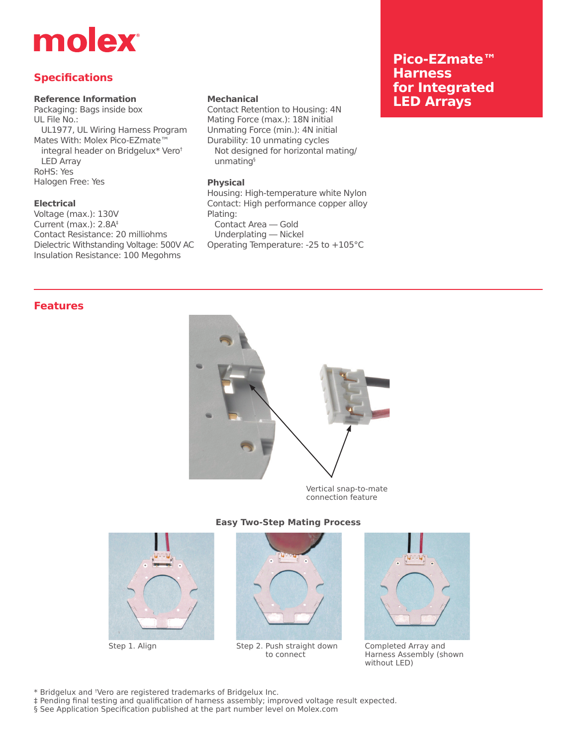## molex

### **Specifications**

#### **Reference Information**

Packaging: Bags inside box UL File No.: UL1977, UL Wiring Harness Program Mates With: Molex Pico-EZmate™ integral header on Bridgelux\* Vero† LED Array RoHS: Yes Halogen Free: Yes

#### **Electrical**

Voltage (max.): 130V Current (max.): 2.8A‡ Contact Resistance: 20 milliohms Dielectric Withstanding Voltage: 500V AC Insulation Resistance: 100 Megohms

#### **Mechanical**

Contact Retention to Housing: 4N Mating Force (max.): 18N initial Unmating Force (min.): 4N initial Durability: 10 unmating cycles Not designed for horizontal mating/ unmating§

#### **Physical**

Housing: High-temperature white Nylon Contact: High performance copper alloy Plating: Contact Area — Gold Underplating — Nickel

Operating Temperature: -25 to +105°C

## **Pico-EZmate™ Harness for Integrated LED Arrays**

#### **Features**



connection feature





Step 1. Align Step 2. Push straight down to connect



Completed Array and Harness Assembly (shown without LED)

\* Bridgelux and † Vero are registered trademarks of Bridgelux Inc.

‡ Pending final testing and qualification of harness assembly; improved voltage result expected.

§ See Application Specification published at the part number level on <Molex.com>